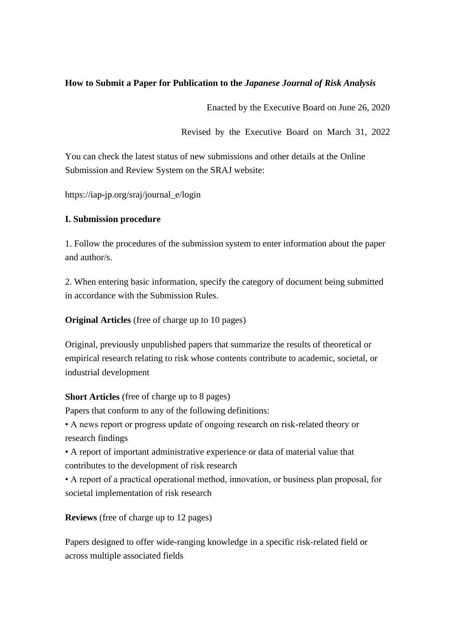## **How to Submit a Paper for Publication to the** *Japanese Journal of Risk Analysis*

Enacted by the Executive Board on June 26, 2020

Revised by the Executive Board on March 31, 2022

You can check the latest status of new submissions and other details at the Online Submission and Review System on the SRAJ website:

https://iap-jp.org/sraj/journal\_e/login

### **I. Submission procedure**

1. Follow the procedures of the submission system to enter information about the paper and author/s.

2. When entering basic information, specify the category of document being submitted in accordance with the Submission Rules.

**Original Articles** (free of charge up to 10 pages)

Original, previously unpublished papers that summarize the results of theoretical or empirical research relating to risk whose contents contribute to academic, societal, or industrial development

#### **Short Articles** (free of charge up to 8 pages)

Papers that conform to any of the following definitions:

• A news report or progress update of ongoing research on risk-related theory or research findings

• A report of important administrative experience or data of material value that contributes to the development of risk research

• A report of a practical operational method, innovation, or business plan proposal, for societal implementation of risk research

**Reviews** (free of charge up to 12 pages)

Papers designed to offer wide-ranging knowledge in a specific risk-related field or across multiple associated fields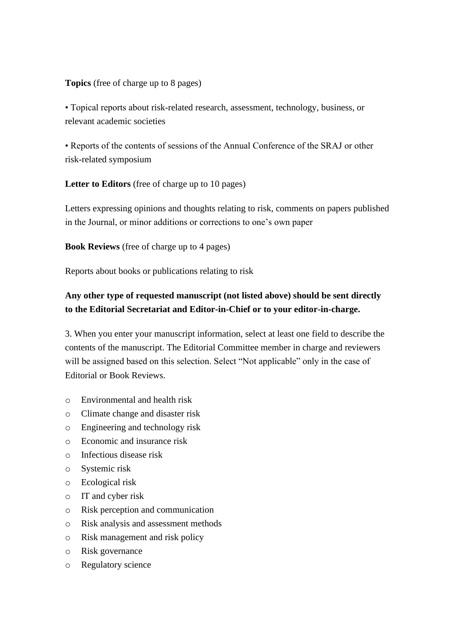## **Topics** (free of charge up to 8 pages)

• Topical reports about risk-related research, assessment, technology, business, or relevant academic societies

• Reports of the contents of sessions of the Annual Conference of the SRAJ or other risk-related symposium

**Letter to Editors** (free of charge up to 10 pages)

Letters expressing opinions and thoughts relating to risk, comments on papers published in the Journal, or minor additions or corrections to one's own paper

**Book Reviews** (free of charge up to 4 pages)

Reports about books or publications relating to risk

# **Any other type of requested manuscript (not listed above) should be sent directly to the Editorial Secretariat and Editor-in-Chief or to your editor-in-charge.**

3. When you enter your manuscript information, select at least one field to describe the contents of the manuscript. The Editorial Committee member in charge and reviewers will be assigned based on this selection. Select "Not applicable" only in the case of Editorial or Book Reviews.

- o Environmental and health risk
- o Climate change and disaster risk
- o Engineering and technology risk
- o Economic and insurance risk
- o Infectious disease risk
- o Systemic risk
- o Ecological risk
- o IT and cyber risk
- o Risk perception and communication
- o Risk analysis and assessment methods
- o Risk management and risk policy
- o Risk governance
- o Regulatory science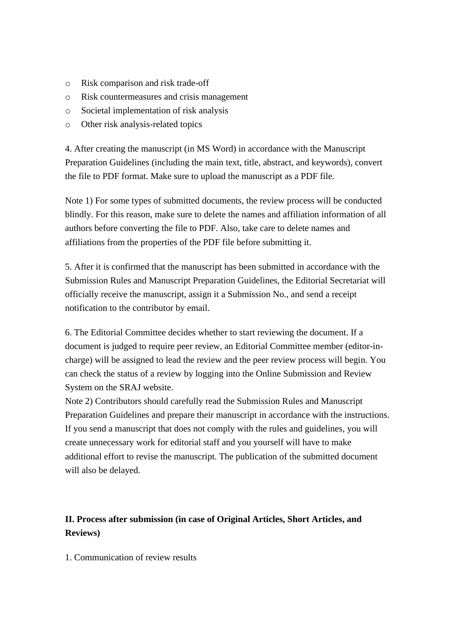- o Risk comparison and risk trade-off
- o Risk countermeasures and crisis management
- o Societal implementation of risk analysis
- o Other risk analysis-related topics

4. After creating the manuscript (in MS Word) in accordance with the Manuscript Preparation Guidelines (including the main text, title, abstract, and keywords), convert the file to PDF format. Make sure to upload the manuscript as a PDF file.

Note 1) For some types of submitted documents, the review process will be conducted blindly. For this reason, make sure to delete the names and affiliation information of all authors before converting the file to PDF. Also, take care to delete names and affiliations from the properties of the PDF file before submitting it.

5. After it is confirmed that the manuscript has been submitted in accordance with the Submission Rules and Manuscript Preparation Guidelines, the Editorial Secretariat will officially receive the manuscript, assign it a Submission No., and send a receipt notification to the contributor by email.

6. The Editorial Committee decides whether to start reviewing the document. If a document is judged to require peer review, an Editorial Committee member (editor-incharge) will be assigned to lead the review and the peer review process will begin. You can check the status of a review by logging into the Online Submission and Review System on the SRAJ website.

Note 2) Contributors should carefully read the Submission Rules and Manuscript Preparation Guidelines and prepare their manuscript in accordance with the instructions. If you send a manuscript that does not comply with the rules and guidelines, you will create unnecessary work for editorial staff and you yourself will have to make additional effort to revise the manuscript. The publication of the submitted document will also be delayed.

# **II. Process after submission (in case of Original Articles, Short Articles, and Reviews)**

1. Communication of review results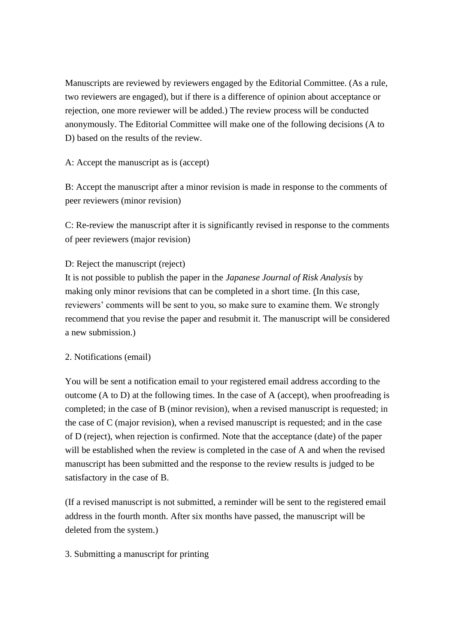Manuscripts are reviewed by reviewers engaged by the Editorial Committee. (As a rule, two reviewers are engaged), but if there is a difference of opinion about acceptance or rejection, one more reviewer will be added.) The review process will be conducted anonymously. The Editorial Committee will make one of the following decisions (A to D) based on the results of the review.

## A: Accept the manuscript as is (accept)

B: Accept the manuscript after a minor revision is made in response to the comments of peer reviewers (minor revision)

C: Re-review the manuscript after it is significantly revised in response to the comments of peer reviewers (major revision)

### D: Reject the manuscript (reject)

It is not possible to publish the paper in the *Japanese Journal of Risk Analysis* by making only minor revisions that can be completed in a short time. (In this case, reviewers' comments will be sent to you, so make sure to examine them. We strongly recommend that you revise the paper and resubmit it. The manuscript will be considered a new submission.)

#### 2. Notifications (email)

You will be sent a notification email to your registered email address according to the outcome (A to D) at the following times. In the case of A (accept), when proofreading is completed; in the case of B (minor revision), when a revised manuscript is requested; in the case of C (major revision), when a revised manuscript is requested; and in the case of D (reject), when rejection is confirmed. Note that the acceptance (date) of the paper will be established when the review is completed in the case of A and when the revised manuscript has been submitted and the response to the review results is judged to be satisfactory in the case of B.

(If a revised manuscript is not submitted, a reminder will be sent to the registered email address in the fourth month. After six months have passed, the manuscript will be deleted from the system.)

## 3. Submitting a manuscript for printing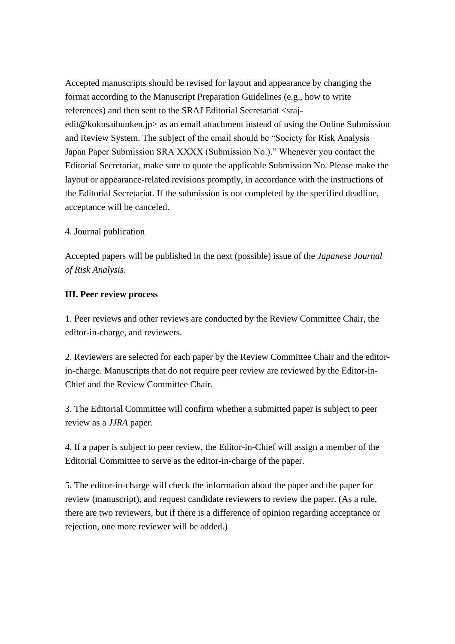Accepted manuscripts should be revised for layout and appearance by changing the format according to the Manuscript Preparation Guidelines (e.g., how to write references) and then sent to the SRAJ Editorial Secretariat <srajedit@kokusaibunken.jp> as an email attachment instead of using the Online Submission and Review System. The subject of the email should be "Society for Risk Analysis Japan Paper Submission SRA XXXX (Submission No.)." Whenever you contact the Editorial Secretariat, make sure to quote the applicable Submission No. Please make the layout or appearance-related revisions promptly, in accordance with the instructions of the Editorial Secretariat. If the submission is not completed by the specified deadline, acceptance will be canceled.

## 4. Journal publication

Accepted papers will be published in the next (possible) issue of the *Japanese Journal of Risk Analysis*.

#### **III. Peer review process**

1. Peer reviews and other reviews are conducted by the Review Committee Chair, the editor-in-charge, and reviewers.

2. Reviewers are selected for each paper by the Review Committee Chair and the editorin-charge. Manuscripts that do not require peer review are reviewed by the Editor-in-Chief and the Review Committee Chair.

3. The Editorial Committee will confirm whether a submitted paper is subject to peer review as a *JJRA* paper.

4. If a paper is subject to peer review, the Editor-in-Chief will assign a member of the Editorial Committee to serve as the editor-in-charge of the paper.

5. The editor-in-charge will check the information about the paper and the paper for review (manuscript), and request candidate reviewers to review the paper. (As a rule, there are two reviewers, but if there is a difference of opinion regarding acceptance or rejection, one more reviewer will be added.)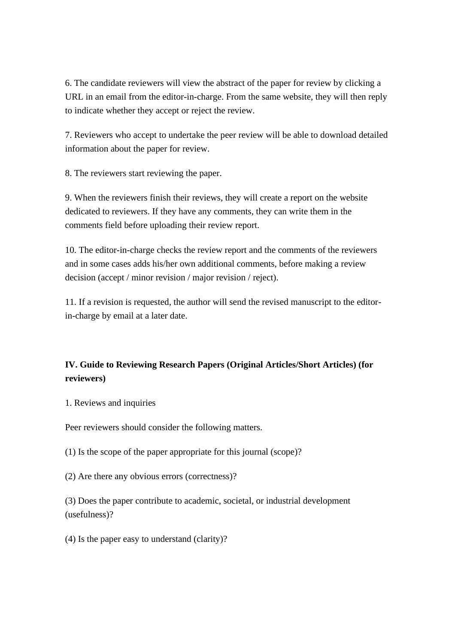6. The candidate reviewers will view the abstract of the paper for review by clicking a URL in an email from the editor-in-charge. From the same website, they will then reply to indicate whether they accept or reject the review.

7. Reviewers who accept to undertake the peer review will be able to download detailed information about the paper for review.

8. The reviewers start reviewing the paper.

9. When the reviewers finish their reviews, they will create a report on the website dedicated to reviewers. If they have any comments, they can write them in the comments field before uploading their review report.

10. The editor-in-charge checks the review report and the comments of the reviewers and in some cases adds his/her own additional comments, before making a review decision (accept / minor revision / major revision / reject).

11. If a revision is requested, the author will send the revised manuscript to the editorin-charge by email at a later date.

## **IV. Guide to Reviewing Research Papers (Original Articles/Short Articles) (for reviewers)**

1. Reviews and inquiries

Peer reviewers should consider the following matters.

(1) Is the scope of the paper appropriate for this journal (scope)?

(2) Are there any obvious errors (correctness)?

(3) Does the paper contribute to academic, societal, or industrial development (usefulness)?

(4) Is the paper easy to understand (clarity)?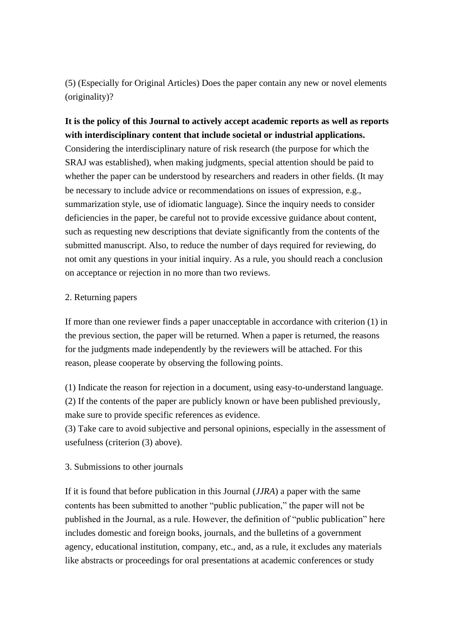(5) (Especially for Original Articles) Does the paper contain any new or novel elements (originality)?

## **It is the policy of this Journal to actively accept academic reports as well as reports with interdisciplinary content that include societal or industrial applications.**

Considering the interdisciplinary nature of risk research (the purpose for which the SRAJ was established), when making judgments, special attention should be paid to whether the paper can be understood by researchers and readers in other fields. (It may be necessary to include advice or recommendations on issues of expression, e.g., summarization style, use of idiomatic language). Since the inquiry needs to consider deficiencies in the paper, be careful not to provide excessive guidance about content, such as requesting new descriptions that deviate significantly from the contents of the submitted manuscript. Also, to reduce the number of days required for reviewing, do not omit any questions in your initial inquiry. As a rule, you should reach a conclusion on acceptance or rejection in no more than two reviews.

### 2. Returning papers

If more than one reviewer finds a paper unacceptable in accordance with criterion (1) in the previous section, the paper will be returned. When a paper is returned, the reasons for the judgments made independently by the reviewers will be attached. For this reason, please cooperate by observing the following points.

(1) Indicate the reason for rejection in a document, using easy-to-understand language. (2) If the contents of the paper are publicly known or have been published previously, make sure to provide specific references as evidence.

(3) Take care to avoid subjective and personal opinions, especially in the assessment of usefulness (criterion (3) above).

## 3. Submissions to other journals

If it is found that before publication in this Journal (*JJRA*) a paper with the same contents has been submitted to another "public publication," the paper will not be published in the Journal, as a rule. However, the definition of "public publication" here includes domestic and foreign books, journals, and the bulletins of a government agency, educational institution, company, etc., and, as a rule, it excludes any materials like abstracts or proceedings for oral presentations at academic conferences or study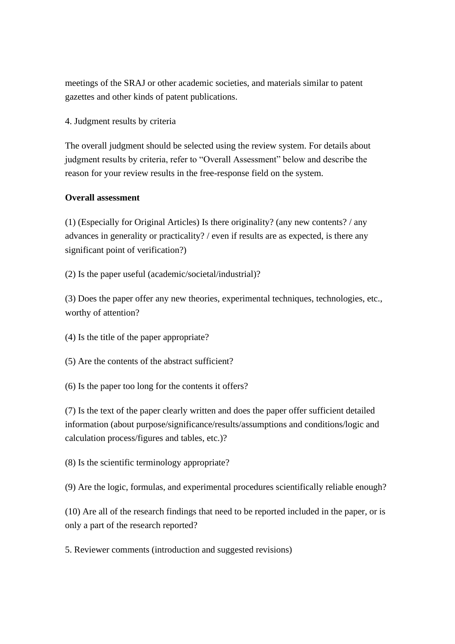meetings of the SRAJ or other academic societies, and materials similar to patent gazettes and other kinds of patent publications.

4. Judgment results by criteria

The overall judgment should be selected using the review system. For details about judgment results by criteria, refer to "Overall Assessment" below and describe the reason for your review results in the free-response field on the system.

#### **Overall assessment**

(1) (Especially for Original Articles) Is there originality? (any new contents? / any advances in generality or practicality? / even if results are as expected, is there any significant point of verification?)

(2) Is the paper useful (academic/societal/industrial)?

(3) Does the paper offer any new theories, experimental techniques, technologies, etc., worthy of attention?

(4) Is the title of the paper appropriate?

(5) Are the contents of the abstract sufficient?

(6) Is the paper too long for the contents it offers?

(7) Is the text of the paper clearly written and does the paper offer sufficient detailed information (about purpose/significance/results/assumptions and conditions/logic and calculation process/figures and tables, etc.)?

(8) Is the scientific terminology appropriate?

(9) Are the logic, formulas, and experimental procedures scientifically reliable enough?

(10) Are all of the research findings that need to be reported included in the paper, or is only a part of the research reported?

5. Reviewer comments (introduction and suggested revisions)